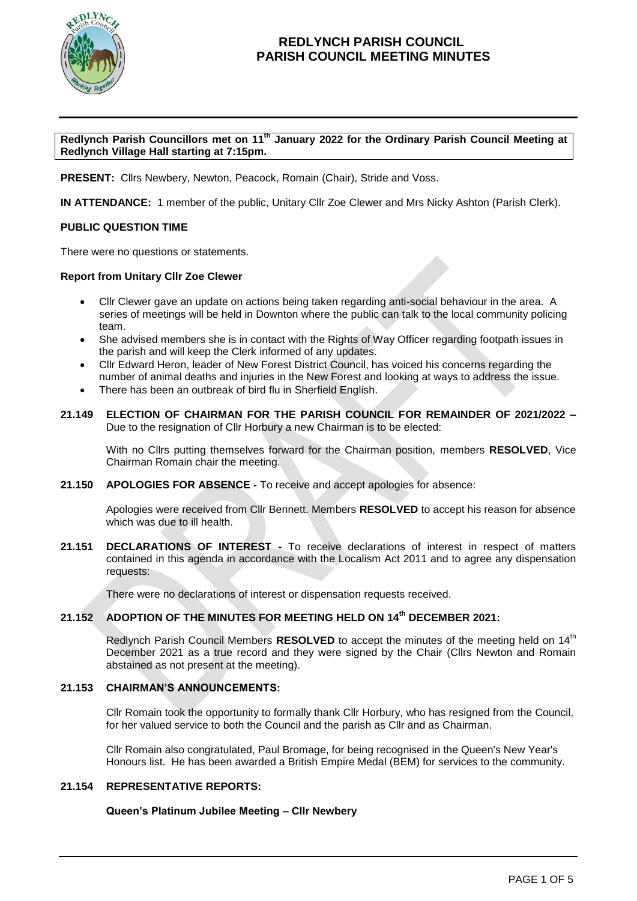

**Redlynch Parish Councillors met on 11 th January 2022 for the Ordinary Parish Council Meeting at Redlynch Village Hall starting at 7:15pm.**

**PRESENT:** Cllrs Newbery, Newton, Peacock, Romain (Chair), Stride and Voss.

**IN ATTENDANCE:** 1 member of the public, Unitary Cllr Zoe Clewer and Mrs Nicky Ashton (Parish Clerk).

### **PUBLIC QUESTION TIME**

There were no questions or statements.

### **Report from Unitary Cllr Zoe Clewer**

- Cllr Clewer gave an update on actions being taken regarding anti-social behaviour in the area. A series of meetings will be held in Downton where the public can talk to the local community policing team.
- She advised members she is in contact with the Rights of Way Officer regarding footpath issues in the parish and will keep the Clerk informed of any updates.
- Cllr Edward Heron, leader of New Forest District Council, has voiced his concerns regarding the number of animal deaths and injuries in the New Forest and looking at ways to address the issue.
- There has been an outbreak of bird flu in Sherfield English.
- **21.149 ELECTION OF CHAIRMAN FOR THE PARISH COUNCIL FOR REMAINDER OF 2021/2022 –** Due to the resignation of Cllr Horbury a new Chairman is to be elected:

With no Cllrs putting themselves forward for the Chairman position, members **RESOLVED**, Vice Chairman Romain chair the meeting.

**21.150 APOLOGIES FOR ABSENCE -** To receive and accept apologies for absence:

Apologies were received from Cllr Bennett. Members **RESOLVED** to accept his reason for absence which was due to ill health.

**21.151 DECLARATIONS OF INTEREST -** To receive declarations of interest in respect of matters contained in this agenda in accordance with the Localism Act 2011 and to agree any dispensation requests:

There were no declarations of interest or dispensation requests received.

## **21.152 ADOPTION OF THE MINUTES FOR MEETING HELD ON 14th DECEMBER 2021:**

Redlynch Parish Council Members **RESOLVED** to accept the minutes of the meeting held on 14<sup>th</sup> December 2021 as a true record and they were signed by the Chair (Cllrs Newton and Romain abstained as not present at the meeting).

### **21.153 CHAIRMAN'S ANNOUNCEMENTS:**

Cllr Romain took the opportunity to formally thank Cllr Horbury, who has resigned from the Council, for her valued service to both the Council and the parish as Cllr and as Chairman.

Cllr Romain also congratulated, Paul Bromage, for being recognised in the Queen's New Year's Honours list. He has been awarded a British Empire Medal (BEM) for services to the community.

### **21.154 REPRESENTATIVE REPORTS:**

### **Queen's Platinum Jubilee Meeting – Cllr Newbery**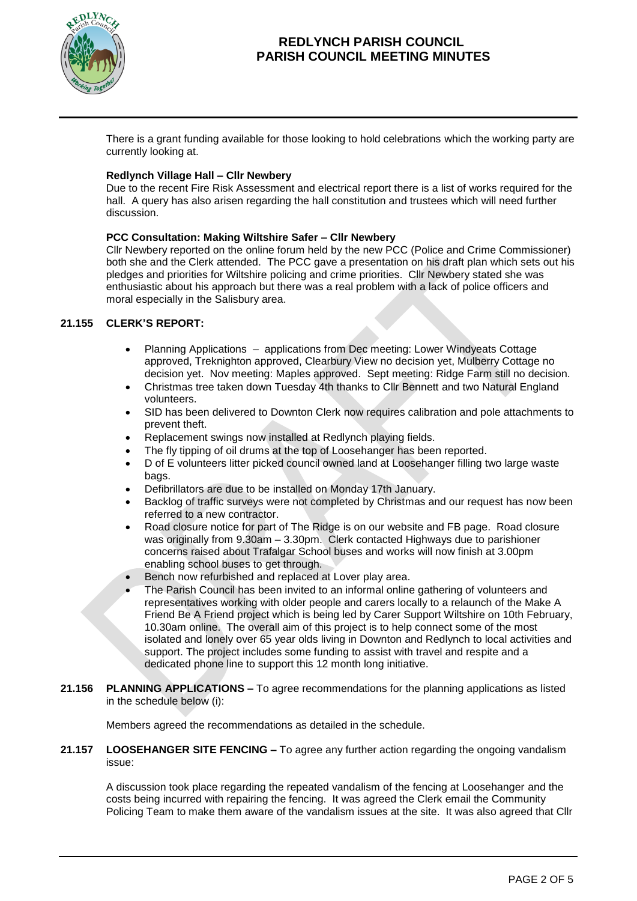

There is a grant funding available for those looking to hold celebrations which the working party are currently looking at.

## **Redlynch Village Hall – Cllr Newbery**

Due to the recent Fire Risk Assessment and electrical report there is a list of works required for the hall. A query has also arisen regarding the hall constitution and trustees which will need further discussion.

### **PCC Consultation: Making Wiltshire Safer – Cllr Newbery**

Cllr Newbery reported on the online forum held by the new PCC (Police and Crime Commissioner) both she and the Clerk attended. The PCC gave a presentation on his draft plan which sets out his pledges and priorities for Wiltshire policing and crime priorities. Cllr Newbery stated she was enthusiastic about his approach but there was a real problem with a lack of police officers and moral especially in the Salisbury area.

## **21.155 CLERK'S REPORT:**

- Planning Applications applications from Dec meeting: Lower Windyeats Cottage approved, Treknighton approved, Clearbury View no decision yet, Mulberry Cottage no decision yet. Nov meeting: Maples approved. Sept meeting: Ridge Farm still no decision.
- Christmas tree taken down Tuesday 4th thanks to Cllr Bennett and two Natural England volunteers.
- SID has been delivered to Downton Clerk now requires calibration and pole attachments to prevent theft.
- Replacement swings now installed at Redlynch playing fields.
- The fly tipping of oil drums at the top of Loosehanger has been reported.
- D of E volunteers litter picked council owned land at Loosehanger filling two large waste bags.
- Defibrillators are due to be installed on Monday 17th January.
- Backlog of traffic surveys were not completed by Christmas and our request has now been referred to a new contractor.
- Road closure notice for part of The Ridge is on our website and FB page. Road closure was originally from 9.30am – 3.30pm. Clerk contacted Highways due to parishioner concerns raised about Trafalgar School buses and works will now finish at 3.00pm enabling school buses to get through.
- Bench now refurbished and replaced at Lover play area.
- The Parish Council has been invited to an informal online gathering of volunteers and representatives working with older people and carers locally to a relaunch of the Make A Friend Be A Friend project which is being led by Carer Support Wiltshire on 10th February, 10.30am online. The overall aim of this project is to help connect some of the most isolated and lonely over 65 year olds living in Downton and Redlynch to local activities and support. The project includes some funding to assist with travel and respite and a dedicated phone line to support this 12 month long initiative.
- **21.156 PLANNING APPLICATIONS –** To agree recommendations for the planning applications as listed in the schedule below (i):

Members agreed the recommendations as detailed in the schedule.

### **21.157 LOOSEHANGER SITE FENCING –** To agree any further action regarding the ongoing vandalism issue:

A discussion took place regarding the repeated vandalism of the fencing at Loosehanger and the costs being incurred with repairing the fencing. It was agreed the Clerk email the Community Policing Team to make them aware of the vandalism issues at the site. It was also agreed that Cllr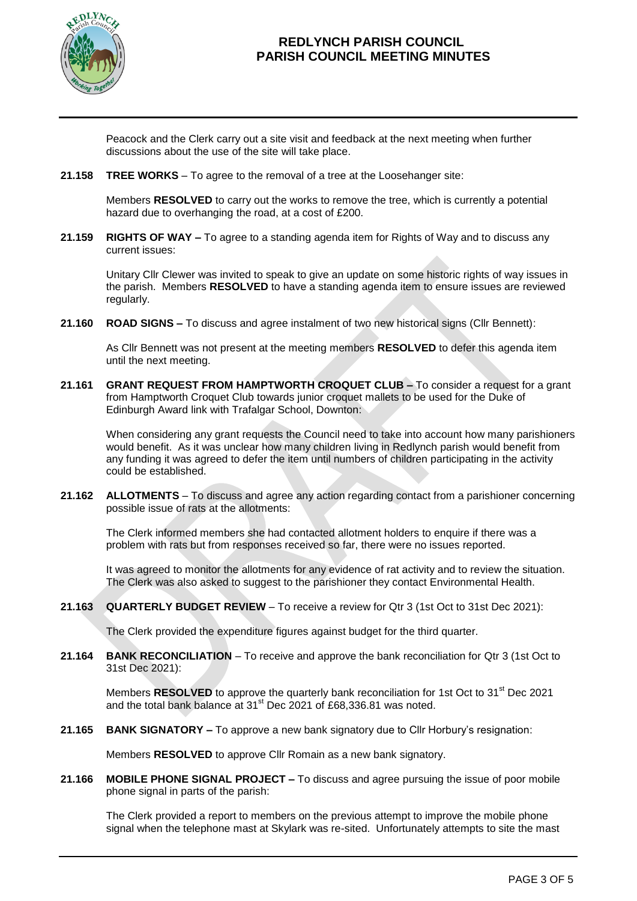

Peacock and the Clerk carry out a site visit and feedback at the next meeting when further discussions about the use of the site will take place.

**21.158 TREE WORKS** – To agree to the removal of a tree at the Loosehanger site:

Members **RESOLVED** to carry out the works to remove the tree, which is currently a potential hazard due to overhanging the road, at a cost of £200.

**21.159 RIGHTS OF WAY –** To agree to a standing agenda item for Rights of Way and to discuss any current issues:

Unitary Cllr Clewer was invited to speak to give an update on some historic rights of way issues in the parish. Members **RESOLVED** to have a standing agenda item to ensure issues are reviewed regularly.

**21.160 ROAD SIGNS –** To discuss and agree instalment of two new historical signs (Cllr Bennett):

As Cllr Bennett was not present at the meeting members **RESOLVED** to defer this agenda item until the next meeting.

**21.161 GRANT REQUEST FROM HAMPTWORTH CROQUET CLUB –** To consider a request for a grant from Hamptworth Croquet Club towards junior croquet mallets to be used for the Duke of Edinburgh Award link with Trafalgar School, Downton:

When considering any grant requests the Council need to take into account how many parishioners would benefit. As it was unclear how many children living in Redlynch parish would benefit from any funding it was agreed to defer the item until numbers of children participating in the activity could be established.

**21.162 ALLOTMENTS** – To discuss and agree any action regarding contact from a parishioner concerning possible issue of rats at the allotments:

The Clerk informed members she had contacted allotment holders to enquire if there was a problem with rats but from responses received so far, there were no issues reported.

It was agreed to monitor the allotments for any evidence of rat activity and to review the situation. The Clerk was also asked to suggest to the parishioner they contact Environmental Health.

**21.163 QUARTERLY BUDGET REVIEW** – To receive a review for Qtr 3 (1st Oct to 31st Dec 2021):

The Clerk provided the expenditure figures against budget for the third quarter.

**21.164 BANK RECONCILIATION** – To receive and approve the bank reconciliation for Qtr 3 (1st Oct to 31st Dec 2021):

Members **RESOLVED** to approve the quarterly bank reconciliation for 1st Oct to 31<sup>st</sup> Dec 2021 and the total bank balance at 31<sup>st</sup> Dec 2021 of £68,336.81 was noted.

**21.165 BANK SIGNATORY –** To approve a new bank signatory due to Cllr Horbury's resignation:

Members **RESOLVED** to approve Cllr Romain as a new bank signatory.

**21.166 MOBILE PHONE SIGNAL PROJECT –** To discuss and agree pursuing the issue of poor mobile phone signal in parts of the parish:

The Clerk provided a report to members on the previous attempt to improve the mobile phone signal when the telephone mast at Skylark was re-sited. Unfortunately attempts to site the mast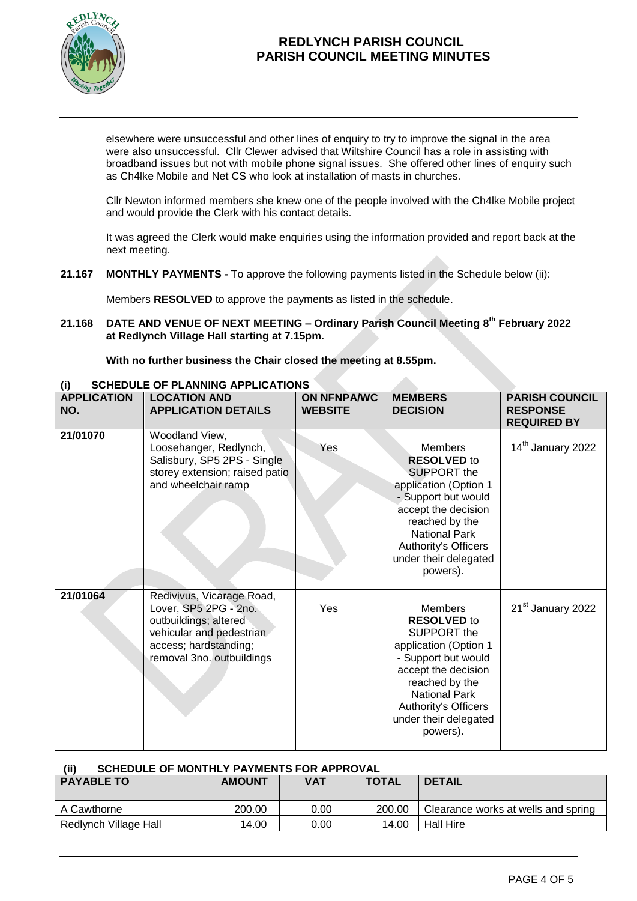

elsewhere were unsuccessful and other lines of enquiry to try to improve the signal in the area were also unsuccessful. Cllr Clewer advised that Wiltshire Council has a role in assisting with broadband issues but not with mobile phone signal issues. She offered other lines of enquiry such as Ch4lke Mobile and Net CS who look at installation of masts in churches.

Cllr Newton informed members she knew one of the people involved with the Ch4lke Mobile project and would provide the Clerk with his contact details.

It was agreed the Clerk would make enquiries using the information provided and report back at the next meeting.

**21.167 MONTHLY PAYMENTS -** To approve the following payments listed in the Schedule below (ii):

Members **RESOLVED** to approve the payments as listed in the schedule.

**21.168 DATE AND VENUE OF NEXT MEETING – Ordinary Parish Council Meeting 8 th February 2022 at Redlynch Village Hall starting at 7.15pm.**

**With no further business the Chair closed the meeting at 8.55pm.**

| v<br><b>APPLICATION</b><br>NO. | <b>LOCATION AND</b><br><b>APPLICATION DETAILS</b>                                                                                                             | <b>ON NFNPA/WC</b><br><b>WEBSITE</b> | <b>MEMBERS</b><br><b>DECISION</b>                                                                                                                                                                                                 | <b>PARISH COUNCIL</b><br><b>RESPONSE</b><br><b>REQUIRED BY</b> |
|--------------------------------|---------------------------------------------------------------------------------------------------------------------------------------------------------------|--------------------------------------|-----------------------------------------------------------------------------------------------------------------------------------------------------------------------------------------------------------------------------------|----------------------------------------------------------------|
| 21/01070                       | Woodland View,<br>Loosehanger, Redlynch,<br>Salisbury, SP5 2PS - Single<br>storey extension; raised patio<br>and wheelchair ramp                              | Yes                                  | <b>Members</b><br><b>RESOLVED to</b><br>SUPPORT the<br>application (Option 1<br>- Support but would<br>accept the decision<br>reached by the<br><b>National Park</b><br>Authority's Officers<br>under their delegated<br>powers). | 14 <sup>th</sup> January 2022                                  |
| 21/01064                       | Redivivus, Vicarage Road,<br>Lover, SP5 2PG - 2no.<br>outbuildings; altered<br>vehicular and pedestrian<br>access; hardstanding;<br>removal 3no. outbuildings | Yes                                  | <b>Members</b><br><b>RESOLVED to</b><br>SUPPORT the<br>application (Option 1<br>- Support but would<br>accept the decision<br>reached by the<br><b>National Park</b><br>Authority's Officers<br>under their delegated<br>powers). | 21 <sup>st</sup> January 2022                                  |

## **(i) SCHEDULE OF PLANNING APPLICATIONS**

| SCHEDULE OF MONTHLY PAYMENTS FOR APPROVAL<br>(ii) |               |            |              |                                     |  |  |  |
|---------------------------------------------------|---------------|------------|--------------|-------------------------------------|--|--|--|
| <b>PAYABLE TO</b>                                 | <b>AMOUNT</b> | <b>VAT</b> | <b>TOTAL</b> | <b>DETAIL</b>                       |  |  |  |
|                                                   |               |            |              |                                     |  |  |  |
| A Cawthorne                                       | 200.00        | 0.00       | 200.00       | Clearance works at wells and spring |  |  |  |
| Redlynch Village Hall                             | 14.00         | 0.00       | 14.00        | <b>Hall Hire</b>                    |  |  |  |